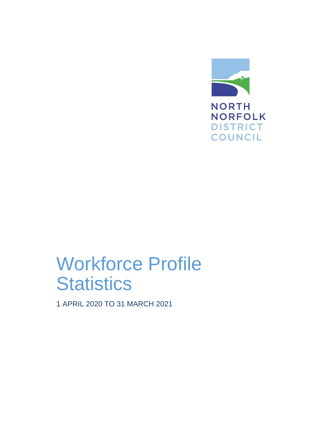

# Workforce Profile **Statistics**

1 APRIL 2020 TO 31 MARCH 2021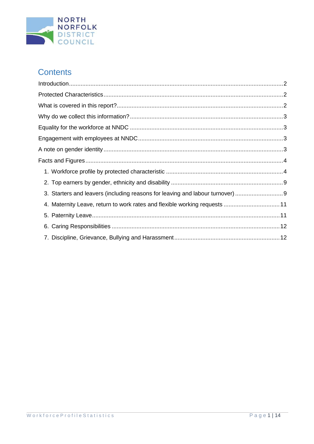

# **Contents**

<span id="page-1-0"></span>

| 3. Starters and leavers (including reasons for leaving and labour turnover) 9 |  |
|-------------------------------------------------------------------------------|--|
| 4. Maternity Leave, return to work rates and flexible working requests  11    |  |
|                                                                               |  |
|                                                                               |  |
|                                                                               |  |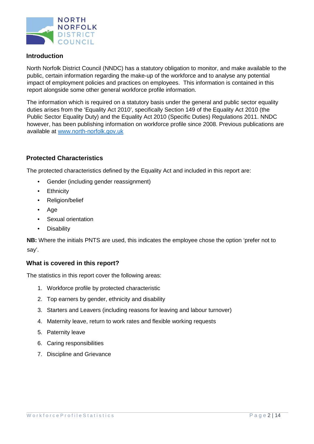

# **Introduction**

North Norfolk District Council (NNDC) has a statutory obligation to monitor, and make available to the public, certain information regarding the make-up of the workforce and to analyse any potential impact of employment policies and practices on employees. This information is contained in this report alongside some other general workforce profile information.

The information which is required on a statutory basis under the general and public sector equality duties arises from the 'Equality Act 2010', specifically Section 149 of the Equality Act 2010 (the Public Sector Equality Duty) and the Equality Act 2010 (Specific Duties) Regulations 2011. NNDC however, has been publishing information on workforce profile since 2008. Previous publications are available at [www.north-norfolk.gov.uk](http://www.north-norfolk.gov.uk/)

### <span id="page-2-0"></span>**Protected Characteristics**

The protected characteristics defined by the Equality Act and included in this report are:

- Gender (including gender reassignment)
- Ethnicity
- Religion/belief
- Age
- Sexual orientation
- Disability

**NB:** Where the initials PNTS are used, this indicates the employee chose the option 'prefer not to say'.

#### <span id="page-2-1"></span>**What is covered in this report?**

The statistics in this report cover the following areas:

- 1. Workforce profile by protected characteristic
- 2. Top earners by gender, ethnicity and disability
- 3. Starters and Leavers (including reasons for leaving and labour turnover)
- 4. Maternity leave, return to work rates and flexible working requests
- 5. Paternity leave
- 6. Caring responsibilities
- 7. Discipline and Grievance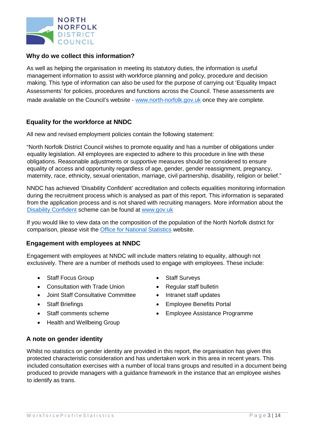

# <span id="page-3-0"></span>**Why do we collect this information?**

As well as helping the organisation in meeting its statutory duties, the information is useful management information to assist with workforce planning and policy, procedure and decision making. This type of information can also be used for the purpose of carrying out 'Equality Impact Assessments' for policies, procedures and functions across the Council. These assessments are made available on the Council's website [-](http://www.north-norfolk.gov.uk/) [www.north-norfolk.gov.uk](http://www.north-norfolk.gov.uk/) [o](http://www.north-norfolk.gov.uk/)nce they are complete.

# <span id="page-3-1"></span>**Equality for the workforce at NNDC**

All new and revised employment policies contain the following statement:

"North Norfolk District Council wishes to promote equality and has a number of obligations under equality legislation. All employees are expected to adhere to this procedure in line with these obligations. Reasonable adjustments or supportive measures should be considered to ensure equality of access and opportunity regardless of age, gender, gender reassignment, pregnancy, maternity, race, ethnicity, sexual orientation, marriage, civil partnership, disability, religion or belief."

NNDC has achieved 'Disability Confident' accreditation and collects equalities monitoring information during the recruitment process which is analysed as part of this report. This information is separated from the application process and is not shared with recruiting managers. More information about the [Disability Confident](https://www.gov.uk/government/collections/disability-confident-campaign) scheme can be found at [www.gov.uk](https://www.gov.uk/)

If you would like to view data on the composition of the population of the North Norfolk district for comparison, please visit the [Office for National Statistics](http://www.ons.gov.uk/) website.

#### <span id="page-3-2"></span>**Engagement with employees at NNDC**

Engagement with employees at NNDC will include matters relating to equality, although not exclusively. There are a number of methods used to engage with employees. These include:

- Staff Focus Group Staff Surveys
- Consultation with Trade Union Regular staff bulletin
- Joint Staff Consultative Committee Intranet staff updates
- 
- 
- Health and Wellbeing Group
- 
- 
- 
- Staff Briefings Staff Briefings Employee Benefits Portal
	- Staff comments scheme Employee Assistance Programme

# <span id="page-3-3"></span>**A note on gender identity**

Whilst no statistics on gender identity are provided in this report, the organisation has given this protected characteristic consideration and has undertaken work in this area in recent years. This included consultation exercises with a number of local trans groups and resulted in a document being produced to provide managers with a guidance framework in the instance that an employee wishes to identify as trans.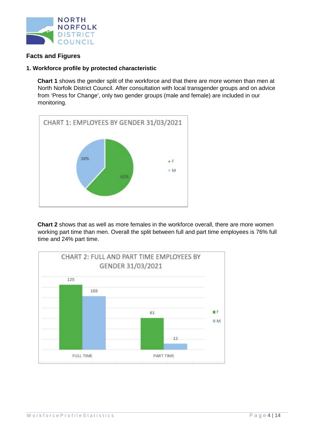

# <span id="page-4-0"></span>**Facts and Figures**

#### <span id="page-4-1"></span>**1. Workforce profile by protected characteristic**

**Chart 1** shows the gender split of the workforce and that there are more women than men at North Norfolk District Council. After consultation with local transgender groups and on advice from 'Press for Change', only two gender groups (male and female) are included in our monitoring.



**Chart 2** shows that as well as more females in the workforce overall, there are more women working part time than men. Overall the split between full and part time employees is 76% full time and 24% part time.

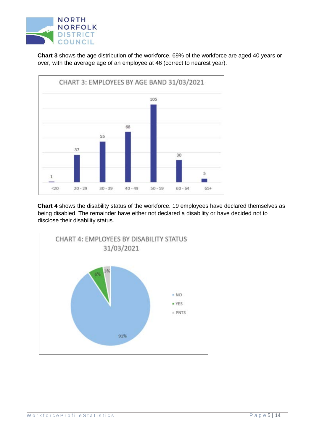

**Chart 3** shows the age distribution of the workforce. 69% of the workforce are aged 40 years or over, with the average age of an employee at 46 (correct to nearest year).



**Chart 4** shows the disability status of the workforce. 19 employees have declared themselves as being disabled. The remainder have either not declared a disability or have decided not to disclose their disability status.

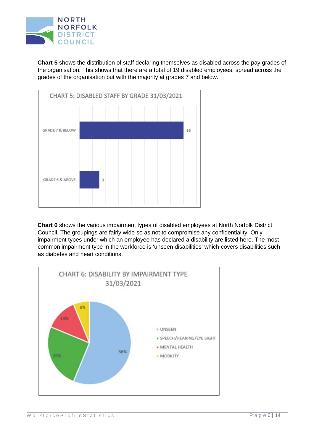

**Chart 5** shows the distribution of staff declaring themselves as disabled across the pay grades of the organisation. This shows that there are a total of 19 disabled employees, spread across the grades of the organisation but with the majority at grades 7 and below.



**Chart 6** shows the various impairment types of disabled employees at North Norfolk District Council. The groupings are fairly wide so as not to compromise any confidentiality. Only impairment types under which an employee has declared a disability are listed here. The most common impairment type in the workforce is 'unseen disabilities' which covers disabilities such as diabetes and heart conditions.

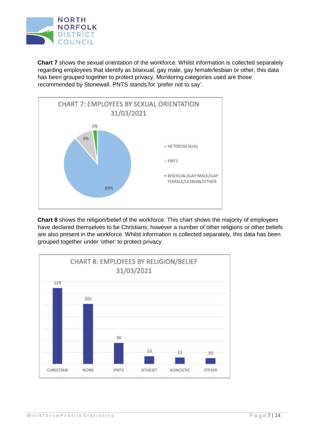

**Chart 7** shows the sexual orientation of the workforce. Whilst information is collected separately regarding employees that identify as bisexual, gay male, gay female/lesbian or other, this data has been grouped together to protect privacy. Monitoring categories used are those recommended by Stonewall. PNTS stands for 'prefer not to say'.



**Chart 8** shows the religion/belief of the workforce. This chart shows the majority of employees have declared themselves to be Christians; however a number of other religions or other beliefs are also present in the workforce. Whilst information is collected separately, this data has been grouped together under 'other' to protect privacy.

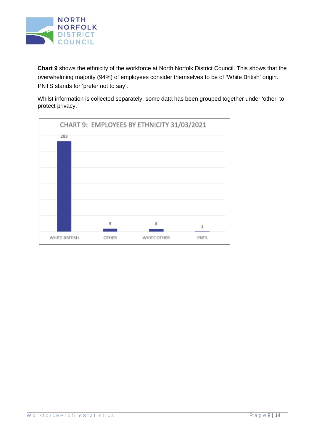

**Chart 9** shows the ethnicity of the workforce at North Norfolk District Council. This shows that the overwhelming majority (94%) of employees consider themselves to be of 'White British' origin. PNTS stands for 'prefer not to say'.

Whilst information is collected separately, some data has been grouped together under 'other' to protect privacy.

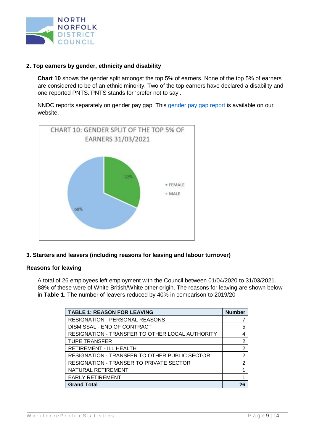

#### <span id="page-9-0"></span>**2. Top earners by gender, ethnicity and disability**

**Chart 10** shows the gender split amongst the top 5% of earners. None of the top 5% of earners are considered to be of an ethnic minority. Two of the top earners have declared a disability and one reported PNTS. PNTS stands for 'prefer not to say'.

NNDC reports separately on [gender](https://www.north-norfolk.gov.uk/tasks/transparency-data/view-gender-pay-gap-report/) pay gap. This gender [pay gap report](https://www.north-norfolk.gov.uk/tasks/transparency-data/view-gender-pay-gap-report/) is available on our website.



#### <span id="page-9-1"></span>**3. Starters and leavers (including reasons for leaving and labour turnover)**

#### **Reasons for leaving**

A total of 26 employees left employment with the Council between 01/04/2020 to 31/03/2021. 88% of these were of White British/White other origin. The reasons for leaving are shown below in **Table 1**. The number of leavers reduced by 40% in comparison to 2019/20

| <b>TABLE 1: REASON FOR LEAVING</b>                     |    |  |  |  |  |
|--------------------------------------------------------|----|--|--|--|--|
| <b>RESIGNATION - PERSONAL REASONS</b>                  |    |  |  |  |  |
| DISMISSAL - END OF CONTRACT                            | 5  |  |  |  |  |
| <b>RESIGNATION - TRANSFER TO OTHER LOCAL AUTHORITY</b> | 4  |  |  |  |  |
| <b>TUPE TRANSFER</b>                                   | 2  |  |  |  |  |
| RETIREMENT - ILL HEALTH                                | 2  |  |  |  |  |
| RESIGNATION - TRANSFER TO OTHER PUBLIC SECTOR          | 2  |  |  |  |  |
| <b>RESIGNATION - TRANSER TO PRIVATE SECTOR</b>         | 2  |  |  |  |  |
| NATURAL RETIREMENT                                     |    |  |  |  |  |
| <b>EARLY RETIREMENT</b>                                |    |  |  |  |  |
| <b>Grand Total</b>                                     | 26 |  |  |  |  |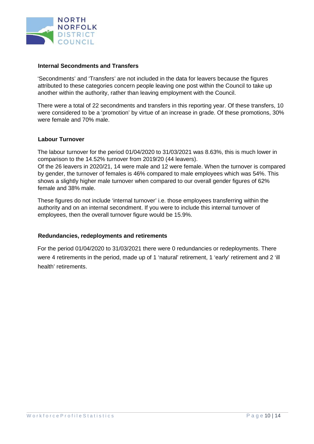

#### **Internal Secondments and Transfers**

'Secondments' and 'Transfers' are not included in the data for leavers because the figures attributed to these categories concern people leaving one post within the Council to take up another within the authority, rather than leaving employment with the Council.

There were a total of 22 secondments and transfers in this reporting year. Of these transfers, 10 were considered to be a 'promotion' by virtue of an increase in grade. Of these promotions, 30% were female and 70% male.

#### **Labour Turnover**

The labour turnover for the period 01/04/2020 to 31/03/2021 was 8.63%, this is much lower in comparison to the 14.52% turnover from 2019/20 (44 leavers).

Of the 26 leavers in 2020/21, 14 were male and 12 were female. When the turnover is compared by gender, the turnover of females is 46% compared to male employees which was 54%. This shows a slightly higher male turnover when compared to our overall gender figures of 62% female and 38% male.

These figures do not include 'internal turnover' i.e. those employees transferring within the authority and on an internal secondment. If you were to include this internal turnover of employees, then the overall turnover figure would be 15.9%.

#### **Redundancies, redeployments and retirements**

For the period 01/04/2020 to 31/03/2021 there were 0 redundancies or redeployments. There were 4 retirements in the period, made up of 1 'natural' retirement, 1 'early' retirement and 2 'ill health' retirements.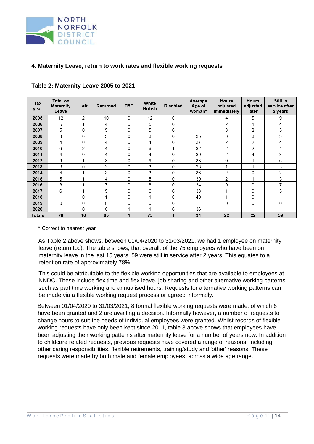

#### <span id="page-11-0"></span>**4. Maternity Leave, return to work rates and flexible working requests**

| Tax<br>year | Total on<br>Maternity<br>Leave | Left | Returned | <b>TBC</b> | White<br><b>British</b> | <b>Disabled</b> | Average<br>Age of<br>woman <sup>*</sup> | <b>Hours</b><br>adjusted<br>immediately | <b>Hours</b><br>adjusted<br>later | Still in<br>service after<br>2 years |
|-------------|--------------------------------|------|----------|------------|-------------------------|-----------------|-----------------------------------------|-----------------------------------------|-----------------------------------|--------------------------------------|
| 2005        | 12                             | 2    | 10       | 0          | 12                      | 0               |                                         | 4                                       | 5                                 | 9                                    |
| 2006        | 5                              | 1    | 4        | 0          | 5                       | 0               |                                         | 2                                       | 1                                 | 4                                    |
| 2007        | 5                              | 0    | 5        | 0          | 5                       | 0               |                                         | 3                                       | 2                                 | 5                                    |
| 2008        | 3                              | 0    | 3        | 0          | 3                       | 0               | 35                                      | 0                                       | 3                                 | 3                                    |
| 2009        | 4                              | 0    | 4        | 0          | 4                       | $\mathbf{0}$    | 37                                      | 2                                       | 2                                 | 4                                    |
| 2010        | 6                              | 2    | 4        | 0          | 6                       | 1               | 32                                      | 2                                       | 2                                 | 4                                    |
| 2011        | 4                              | 0    | 4        | 0          | 4                       | 0               | 30                                      | 2                                       | 4                                 | 3                                    |
| 2012        | 9                              | 1    | 8        | 0          | 9                       | 0               | 33                                      | 0                                       | 1                                 | 6                                    |
| 2013        | 3                              | 0    | 3        | 0          | 3                       | 0               | 28                                      | 1                                       | 1                                 | 3                                    |
| 2014        | 4                              | 1    | 3        | 0          | 3                       | 0               | 36                                      | 2                                       | 0                                 | 2                                    |
| 2015        | 5                              | 1    | 4        | 0          | 5                       | $\mathbf 0$     | 30                                      | 2                                       | 1                                 | 3                                    |
| 2016        | 8                              | 1    | 7        | 0          | 8                       | $\mathbf{0}$    | 34                                      | 0                                       | 0                                 | 7                                    |
| 2017        | 6                              | 1    | 5        | 0          | 6                       | 0               | 33                                      | 4                                       | 0                                 | 5                                    |
| 2018        | 1                              | 0    |          | 0          | 1                       | 0               | 40                                      | 4                                       | 0                                 | 1                                    |
| 2019        | $\mathbf 0$                    | 0    | 0        | 0          | 0                       | 0               |                                         | 0                                       | 0                                 | $\mathbf 0$                          |
| 2020        | 1                              | 0    | 0        | 1          | 1                       | 0               | 36                                      |                                         |                                   |                                      |
| Totals      | 76                             | 10   | 65       | 1          | 75                      | $\overline{1}$  | 34                                      | 22                                      | 22                                | 59                                   |

#### **Table 2: Maternity Leave 2005 to 2021**

\* Correct to nearest year

As Table 2 above shows, between 01/04/2020 to 31/03/2021, we had 1 employee on maternity leave (return tbc). The table shows, that overall, of the 75 employees who have been on maternity leave in the last 15 years, 59 were still in service after 2 years. This equates to a retention rate of approximately 78%.

This could be attributable to the flexible working opportunities that are available to employees at NNDC. These include flexitime and flex leave, job sharing and other alternative working patterns such as part time working and annualised hours. Requests for alternative working patterns can be made via a flexible working request process or agreed informally.

Between 01/04/2020 to 31/03/2021, 8 formal flexible working requests were made, of which 6 have been granted and 2 are awaiting a decision. Informally however, a number of requests to change hours to suit the needs of individual employees were granted. Whilst records of flexible working requests have only been kept since 2011, table 3 above shows that employees have been adjusting their working patterns after maternity leave for a number of years now. In addition to childcare related requests, previous requests have covered a range of reasons, including other caring responsibilities, flexible retirements, training/study and 'other' reasons. These requests were made by both male and female employees, across a wide age range.